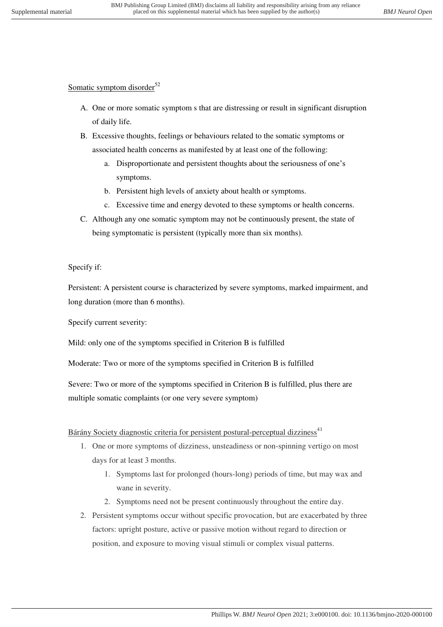## Somatic symptom disorder<sup>52</sup>

- A. One or more somatic symptom s that are distressing or result in significant disruption of daily life.
- B. Excessive thoughts, feelings or behaviours related to the somatic symptoms or associated health concerns as manifested by at least one of the following:
	- a. Disproportionate and persistent thoughts about the seriousness of one's symptoms.
	- b. Persistent high levels of anxiety about health or symptoms.
	- c. Excessive time and energy devoted to these symptoms or health concerns.
- C. Although any one somatic symptom may not be continuously present, the state of being symptomatic is persistent (typically more than six months).

Specify if:

Persistent: A persistent course is characterized by severe symptoms, marked impairment, and long duration (more than 6 months).

Specify current severity:

Mild: only one of the symptoms specified in Criterion B is fulfilled

Moderate: Two or more of the symptoms specified in Criterion B is fulfilled

Severe: Two or more of the symptoms specified in Criterion B is fulfilled, plus there are multiple somatic complaints (or one very severe symptom)

## Bárány Society diagnostic criteria for persistent postural-perceptual dizziness<sup>41</sup>

- 1. One or more symptoms of dizziness, unsteadiness or non-spinning vertigo on most days for at least 3 months.
	- 1. Symptoms last for prolonged (hours-long) periods of time, but may wax and wane in severity.
	- 2. Symptoms need not be present continuously throughout the entire day.
- 2. Persistent symptoms occur without specific provocation, but are exacerbated by three factors: upright posture, active or passive motion without regard to direction or position, and exposure to moving visual stimuli or complex visual patterns.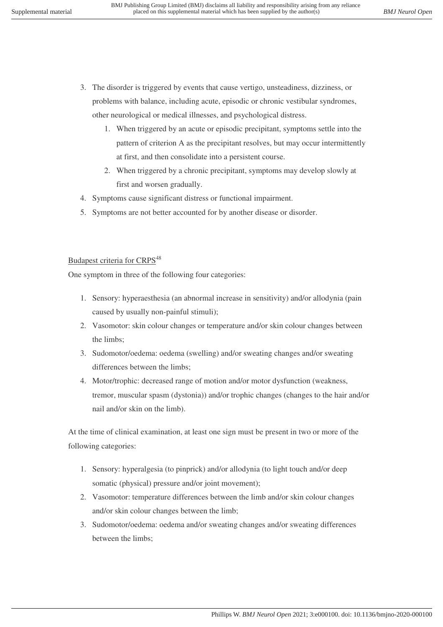- 3. The disorder is triggered by events that cause vertigo, unsteadiness, dizziness, or problems with balance, including acute, episodic or chronic vestibular syndromes, other neurological or medical illnesses, and psychological distress.
	- 1. When triggered by an acute or episodic precipitant, symptoms settle into the pattern of criterion A as the precipitant resolves, but may occur intermittently at first, and then consolidate into a persistent course.
	- 2. When triggered by a chronic precipitant, symptoms may develop slowly at first and worsen gradually.
- 4. Symptoms cause significant distress or functional impairment.
- 5. Symptoms are not better accounted for by another disease or disorder.

## Budapest criteria for CRPS<sup>48</sup>

One symptom in three of the following four categories:

- 1. Sensory: hyperaesthesia (an abnormal increase in sensitivity) and/or allodynia (pain caused by usually non-painful stimuli);
- 2. Vasomotor: skin colour changes or temperature and/or skin colour changes between the limbs;
- 3. Sudomotor/oedema: oedema (swelling) and/or sweating changes and/or sweating differences between the limbs;
- 4. Motor/trophic: decreased range of motion and/or motor dysfunction (weakness, tremor, muscular spasm (dystonia)) and/or trophic changes (changes to the hair and/or nail and/or skin on the limb).

At the time of clinical examination, at least one sign must be present in two or more of the following categories:

- 1. Sensory: hyperalgesia (to pinprick) and/or allodynia (to light touch and/or deep somatic (physical) pressure and/or joint movement);
- 2. Vasomotor: temperature differences between the limb and/or skin colour changes and/or skin colour changes between the limb;
- 3. Sudomotor/oedema: oedema and/or sweating changes and/or sweating differences between the limbs;